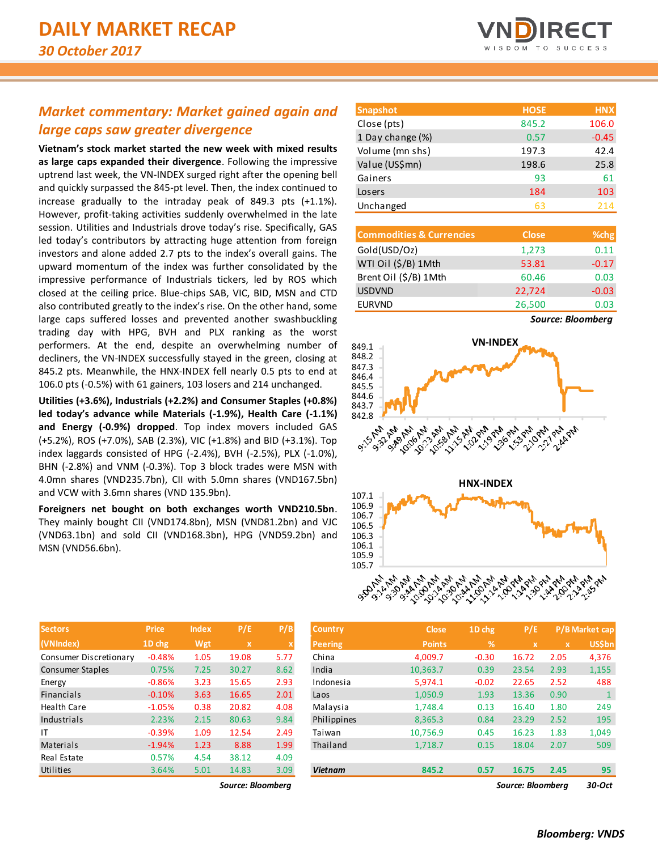## *Market commentary: Market gained again and large caps saw greater divergence*

**Vietnam's stock market started the new week with mixed results as large caps expanded their divergence**. Following the impressive uptrend last week, the VN-INDEX surged right after the opening bell and quickly surpassed the 845-pt level. Then, the index continued to increase gradually to the intraday peak of 849.3 pts (+1.1%). However, profit-taking activities suddenly overwhelmed in the late session. Utilities and Industrials drove today's rise. Specifically, GAS led today's contributors by attracting huge attention from foreign investors and alone added 2.7 pts to the index's overall gains. The upward momentum of the index was further consolidated by the impressive performance of Industrials tickers, led by ROS which closed at the ceiling price. Blue-chips SAB, VIC, BID, MSN and CTD also contributed greatly to the index's rise. On the other hand, some large caps suffered losses and prevented another swashbuckling trading day with HPG, BVH and PLX ranking as the worst performers. At the end, despite an overwhelming number of decliners, the VN-INDEX successfully stayed in the green, closing at 845.2 pts. Meanwhile, the HNX-INDEX fell nearly 0.5 pts to end at 106.0 pts (-0.5%) with 61 gainers, 103 losers and 214 unchanged.

**Utilities (+3.6%), Industrials (+2.2%) and Consumer Staples (+0.8%) led today's advance while Materials (-1.9%), Health Care (-1.1%) and Energy (-0.9%) dropped**. Top index movers included GAS (+5.2%), ROS (+7.0%), SAB (2.3%), VIC (+1.8%) and BID (+3.1%). Top index laggards consisted of HPG (-2.4%), BVH (-2.5%), PLX (-1.0%), BHN (-2.8%) and VNM (-0.3%). Top 3 block trades were MSN with 4.0mn shares (VND235.7bn), CII with 5.0mn shares (VND167.5bn) and VCW with 3.6mn shares (VND 135.9bn).

**Foreigners net bought on both exchanges worth VND210.5bn**. They mainly bought CII (VND174.8bn), MSN (VND81.2bn) and VJC (VND63.1bn) and sold CII (VND168.3bn), HPG (VND59.2bn) and MSN (VND56.6bn).

| <b>Snapshot</b>  | <b>HOSE</b> | <b>HNX</b> |
|------------------|-------------|------------|
| Close (pts)      | 845.2       | 106.0      |
| 1 Day change (%) | 0.57        | $-0.45$    |
| Volume (mn shs)  | 197.3       | 42.4       |
| Value (US\$mn)   | 198.6       | 25.8       |
| Gainers          | 93          | 61         |
| Losers           | 184         | 103        |
| Unchanged        | 63          | 214        |

| <b>Commodities &amp; Currencies</b> | <b>Close</b> | %chg    |
|-------------------------------------|--------------|---------|
| Gold(USD/Oz)                        | 1,273        | 0.11    |
| WTI Oil (\$/B) 1Mth                 | 53.81        | $-0.17$ |
| Brent Oil (\$/B) 1Mth               | 60.46        | 0.03    |
| <b>USDVND</b>                       | 22,724       | $-0.03$ |
| <b>EURVND</b>                       | 26,500       | 0.03    |





| <b>Sectors</b>         | <b>Price</b> | <b>Index</b> | P/E   | P/B                       |
|------------------------|--------------|--------------|-------|---------------------------|
| (VNIndex)              | 1D chg       | Wgt          | x     | $\boldsymbol{\mathsf{x}}$ |
| Consumer Discretionary | $-0.48%$     | 1.05         | 19.08 | 5.77                      |
| Consumer Staples       | 0.75%        | 7.25         | 30.27 | 8.62                      |
| Energy                 | $-0.86%$     | 3.23         | 15.65 | 2.93                      |
| <b>Financials</b>      | $-0.10%$     | 3.63         | 16.65 | 2.01                      |
| Health Care            | $-1.05%$     | 0.38         | 20.82 | 4.08                      |
| Industrials            | 2.23%        | 2.15         | 80.63 | 9.84                      |
| ΙT                     | $-0.39%$     | 1.09         | 12.54 | 2.49                      |
| Materials              | $-1.94%$     | 1.23         | 8.88  | 1.99                      |
| Real Estate            | 0.57%        | 4.54         | 38.12 | 4.09                      |
| Utilities              | 3.64%        | 5.01         | 14.83 | 3.09                      |

| <b>Sectors</b>         | <b>Price</b> | <b>Index</b> | P/E               | P/B  | <b>Country</b> | <b>Close</b>  | 1D chg  | P/E               |             | P/B Market cap |
|------------------------|--------------|--------------|-------------------|------|----------------|---------------|---------|-------------------|-------------|----------------|
| (VNIndex)              | $1D$ chg     | Wgt          | $\mathbf{x}$      |      | <b>Peering</b> | <b>Points</b> | %       | $\mathbf x$       | $\mathbf x$ | <b>US\$bn</b>  |
| Consumer Discretionary | $-0.48%$     | 1.05         | 19.08             | 5.77 | China          | 4,009.7       | $-0.30$ | 16.72             | 2.05        | 4,376          |
| Consumer Staples       | 0.75%        | 7.25         | 30.27             | 8.62 | India          | 10,363.7      | 0.39    | 23.54             | 2.93        | 1,155          |
| Energy                 | $-0.86%$     | 3.23         | 15.65             | 2.93 | Indonesia      | 5,974.1       | $-0.02$ | 22.65             | 2.52        | 488            |
| Financials             | $-0.10%$     | 3.63         | 16.65             | 2.01 | Laos           | 1,050.9       | 1.93    | 13.36             | 0.90        |                |
| Health Care            | $-1.05%$     | 0.38         | 20.82             | 4.08 | Malaysia       | 1,748.4       | 0.13    | 16.40             | 1.80        | 249            |
| Industrials            | 2.23%        | 2.15         | 80.63             | 9.84 | Philippines    | 8,365.3       | 0.84    | 23.29             | 2.52        | 195            |
| ΙT                     | $-0.39%$     | 1.09         | 12.54             | 2.49 | Taiwan         | 10,756.9      | 0.45    | 16.23             | 1.83        | 1,049          |
| Materials              | $-1.94%$     | 1.23         | 8.88              | 1.99 | Thailand       | 1,718.7       | 0.15    | 18.04             | 2.07        | 509            |
| Real Estate            | 0.57%        | 4.54         | 38.12             | 4.09 |                |               |         |                   |             |                |
| <b>Utilities</b>       | 3.64%        | 5.01         | 14.83             | 3.09 | <b>Vietnam</b> | 845.2         | 0.57    | 16.75             | 2.45        | 95             |
|                        |              |              | Source: Bloombera |      |                |               |         | Source: Bloombera |             | 30-Oct         |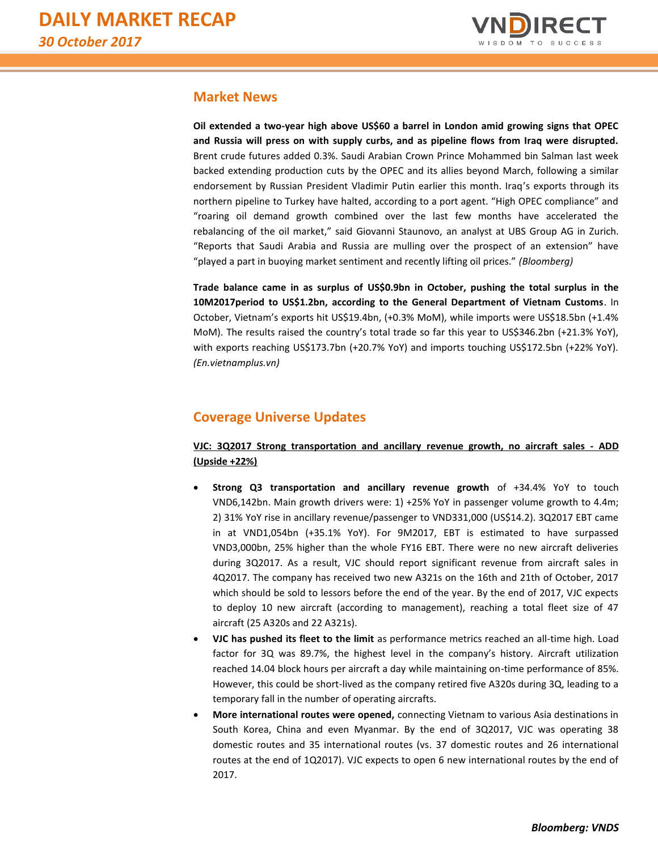

## **Market News**

**Oil extended a two-year high above US\$60 a barrel in London amid growing signs that OPEC and Russia will press on with supply curbs, and as pipeline flows from Iraq were disrupted.** Brent crude futures added 0.3%. Saudi Arabian Crown Prince Mohammed bin Salman last week backed extending production cuts by the OPEC and its allies beyond March, following a similar endorsement by Russian President Vladimir Putin earlier this month. Iraq's exports through its northern pipeline to Turkey have halted, according to a port agent. "High OPEC compliance" and "roaring oil demand growth combined over the last few months have accelerated the rebalancing of the oil market," said Giovanni Staunovo, an analyst at UBS Group AG in Zurich. "Reports that Saudi Arabia and Russia are mulling over the prospect of an extension" have "played a part in buoying market sentiment and recently lifting oil prices." *(Bloomberg)*

**Trade balance came in as surplus of US\$0.9bn in October, pushing the total surplus in the 10M2017period to US\$1.2bn, according to the General Department of Vietnam Customs**. In October, Vietnam's exports hit US\$19.4bn, (+0.3% MoM), while imports were US\$18.5bn (+1.4% MoM). The results raised the country's total trade so far this year to US\$346.2bn (+21.3% YoY), with exports reaching US\$173.7bn (+20.7% YoY) and imports touching US\$172.5bn (+22% YoY). *(En.vietnamplus.vn)* 

## **Coverage Universe Updates**

## **VJC: 3Q2017 Strong transportation and ancillary revenue growth, no aircraft sales - ADD (Upside +22%)**

- **Strong Q3 transportation and ancillary revenue growth** of +34.4% YoY to touch VND6,142bn. Main growth drivers were: 1) +25% YoY in passenger volume growth to 4.4m; 2) 31% YoY rise in ancillary revenue/passenger to VND331,000 (US\$14.2). 3Q2017 EBT came in at VND1,054bn (+35.1% YoY). For 9M2017, EBT is estimated to have surpassed VND3,000bn, 25% higher than the whole FY16 EBT. There were no new aircraft deliveries during 3Q2017. As a result, VJC should report significant revenue from aircraft sales in 4Q2017. The company has received two new A321s on the 16th and 21th of October, 2017 which should be sold to lessors before the end of the year. By the end of 2017, VJC expects to deploy 10 new aircraft (according to management), reaching a total fleet size of 47 aircraft (25 A320s and 22 A321s).
- **VJC has pushed its fleet to the limit** as performance metrics reached an all-time high. Load factor for 3Q was 89.7%, the highest level in the company's history. Aircraft utilization reached 14.04 block hours per aircraft a day while maintaining on-time performance of 85%. However, this could be short-lived as the company retired five A320s during 3Q, leading to a temporary fall in the number of operating aircrafts.
- **More international routes were opened,** connecting Vietnam to various Asia destinations in South Korea, China and even Myanmar. By the end of 3Q2017, VJC was operating 38 domestic routes and 35 international routes (vs. 37 domestic routes and 26 international routes at the end of 1Q2017). VJC expects to open 6 new international routes by the end of 2017.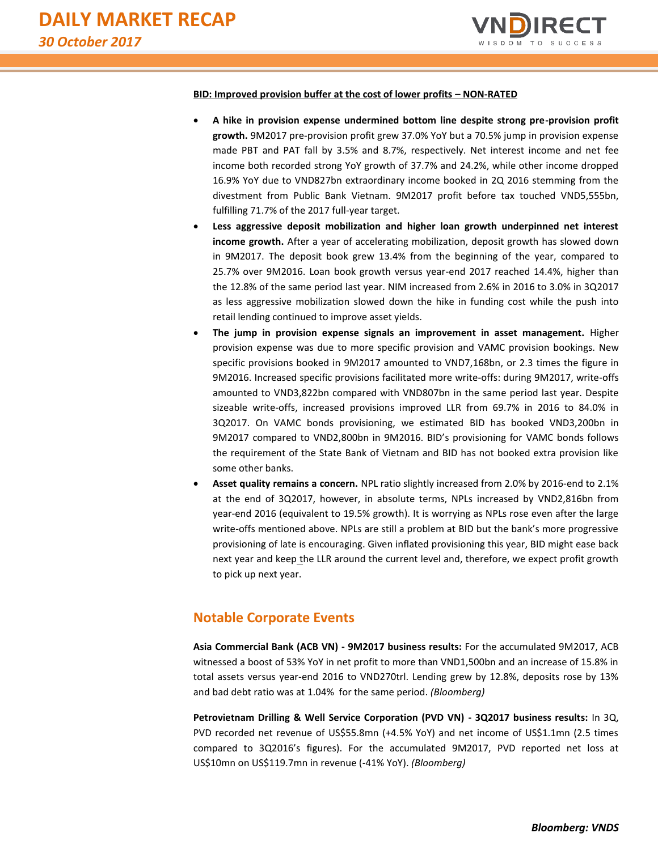

#### **BID: Improved provision buffer at the cost of lower profits – NON-RATED**

- **A hike in provision expense undermined bottom line despite strong pre-provision profit growth.** 9M2017 pre-provision profit grew 37.0% YoY but a 70.5% jump in provision expense made PBT and PAT fall by 3.5% and 8.7%, respectively. Net interest income and net fee income both recorded strong YoY growth of 37.7% and 24.2%, while other income dropped 16.9% YoY due to VND827bn extraordinary income booked in 2Q 2016 stemming from the divestment from Public Bank Vietnam. 9M2017 profit before tax touched VND5,555bn, fulfilling 71.7% of the 2017 full-year target.
- **Less aggressive deposit mobilization and higher loan growth underpinned net interest income growth.** After a year of accelerating mobilization, deposit growth has slowed down in 9M2017. The deposit book grew 13.4% from the beginning of the year, compared to 25.7% over 9M2016. Loan book growth versus year-end 2017 reached 14.4%, higher than the 12.8% of the same period last year. NIM increased from 2.6% in 2016 to 3.0% in 3Q2017 as less aggressive mobilization slowed down the hike in funding cost while the push into retail lending continued to improve asset yields.
- **The jump in provision expense signals an improvement in asset management.** Higher provision expense was due to more specific provision and VAMC provision bookings. New specific provisions booked in 9M2017 amounted to VND7,168bn, or 2.3 times the figure in 9M2016. Increased specific provisions facilitated more write-offs: during 9M2017, write-offs amounted to VND3,822bn compared with VND807bn in the same period last year. Despite sizeable write-offs, increased provisions improved LLR from 69.7% in 2016 to 84.0% in 3Q2017. On VAMC bonds provisioning, we estimated BID has booked VND3,200bn in 9M2017 compared to VND2,800bn in 9M2016. BID's provisioning for VAMC bonds follows the requirement of the State Bank of Vietnam and BID has not booked extra provision like some other banks.
- **Asset quality remains a concern.** NPL ratio slightly increased from 2.0% by 2016-end to 2.1% at the end of 3Q2017, however, in absolute terms, NPLs increased by VND2,816bn from year-end 2016 (equivalent to 19.5% growth). It is worrying as NPLs rose even after the large write-offs mentioned above. NPLs are still a problem at BID but the bank's more progressive provisioning of late is encouraging. Given inflated provisioning this year, BID might ease back next year and keep the LLR around the current level and, therefore, we expect profit growth to pick up next year.

## **Notable Corporate Events**

**Asia Commercial Bank (ACB VN) - 9M2017 business results:** For the accumulated 9M2017, ACB witnessed a boost of 53% YoY in net profit to more than VND1,500bn and an increase of 15.8% in total assets versus year-end 2016 to VND270trl. Lending grew by 12.8%, deposits rose by 13% and bad debt ratio was at 1.04% for the same period. *(Bloomberg)*

**Petrovietnam Drilling & Well Service Corporation (PVD VN) - 3Q2017 business results:** In 3Q, PVD recorded net revenue of US\$55.8mn (+4.5% YoY) and net income of US\$1.1mn (2.5 times compared to 3Q2016's figures). For the accumulated 9M2017, PVD reported net loss at US\$10mn on US\$119.7mn in revenue (-41% YoY). *(Bloomberg)*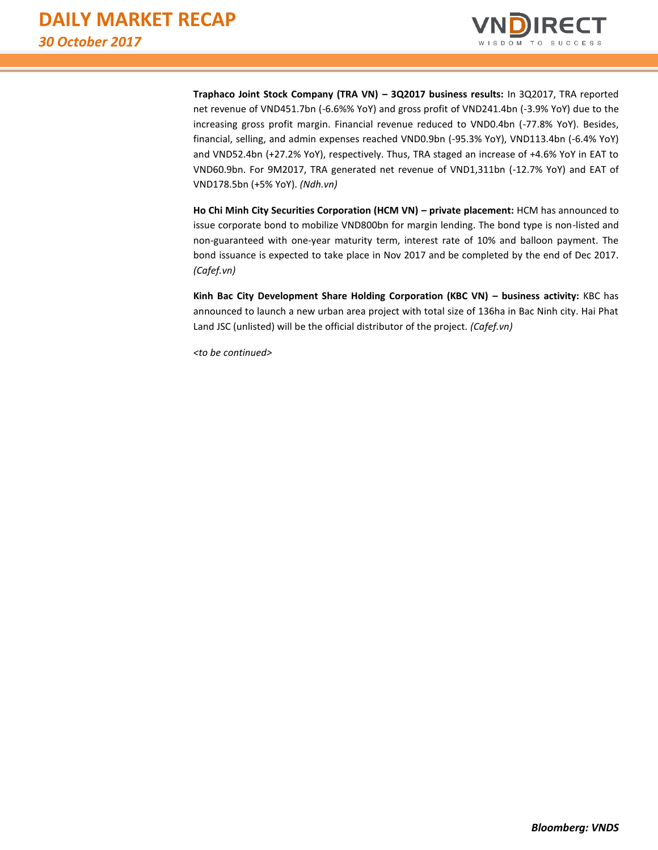

**Traphaco Joint Stock Company (TRA VN) – 3Q2017 business results:** In 3Q2017, TRA reported net revenue of VND451.7bn (-6.6%% YoY) and gross profit of VND241.4bn (-3.9% YoY) due to the increasing gross profit margin. Financial revenue reduced to VND0.4bn (-77.8% YoY). Besides, financial, selling, and admin expenses reached VND0.9bn (-95.3% YoY), VND113.4bn (-6.4% YoY) and VND52.4bn (+27.2% YoY), respectively. Thus, TRA staged an increase of +4.6% YoY in EAT to VND60.9bn. For 9M2017, TRA generated net revenue of VND1,311bn (-12.7% YoY) and EAT of VND178.5bn (+5% YoY). *(Ndh.vn)*

**Ho Chi Minh City Securities Corporation (HCM VN) – private placement:** HCM has announced to issue corporate bond to mobilize VND800bn for margin lending. The bond type is non-listed and non-guaranteed with one-year maturity term, interest rate of 10% and balloon payment. The bond issuance is expected to take place in Nov 2017 and be completed by the end of Dec 2017. *(Cafef.vn)*

**Kinh Bac City Development Share Holding Corporation (KBC VN) – business activity:** KBC has announced to launch a new urban area project with total size of 136ha in Bac Ninh city. Hai Phat Land JSC (unlisted) will be the official distributor of the project*. (Cafef.vn)*

*<to be continued>*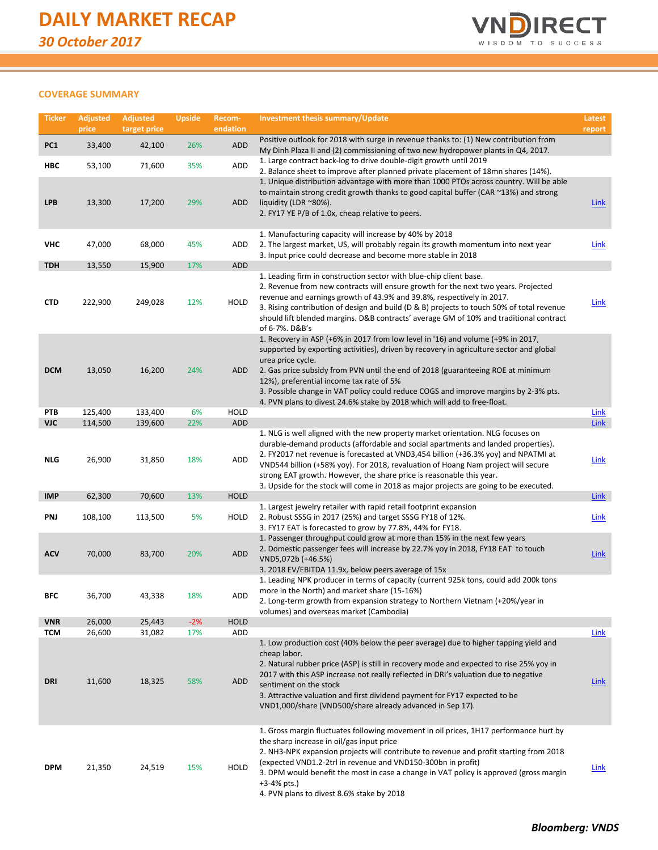

## **COVERAGE SUMMARY**

| <b>Ticker</b>            | <b>Adjusted</b><br>price | <b>Adjusted</b><br>target price | <b>Upside</b> | Recom-<br>endation  | <b>Investment thesis summary/Update</b>                                                                                                                                                                                                                                                                                                                                                                                                                                                            | Latest<br>report           |
|--------------------------|--------------------------|---------------------------------|---------------|---------------------|----------------------------------------------------------------------------------------------------------------------------------------------------------------------------------------------------------------------------------------------------------------------------------------------------------------------------------------------------------------------------------------------------------------------------------------------------------------------------------------------------|----------------------------|
| PC <sub>1</sub>          | 33,400                   | 42,100                          | 26%           | ADD                 | Positive outlook for 2018 with surge in revenue thanks to: (1) New contribution from                                                                                                                                                                                                                                                                                                                                                                                                               |                            |
| HBC                      | 53,100                   | 71,600                          | 35%           | ADD                 | My Dinh Plaza II and (2) commissioning of two new hydropower plants in Q4, 2017.<br>1. Large contract back-log to drive double-digit growth until 2019                                                                                                                                                                                                                                                                                                                                             |                            |
| <b>LPB</b>               | 13,300                   | 17,200                          | 29%           | ADD                 | 2. Balance sheet to improve after planned private placement of 18mn shares (14%).<br>1. Unique distribution advantage with more than 1000 PTOs across country. Will be able<br>to maintain strong credit growth thanks to good capital buffer (CAR ~13%) and strong<br>liquidity (LDR $^{\sim}80\%$ ).<br>2. FY17 YE P/B of 1.0x, cheap relative to peers.                                                                                                                                         | <b>Link</b>                |
| <b>VHC</b>               | 47,000                   | 68,000                          | 45%           | ADD                 | 1. Manufacturing capacity will increase by 40% by 2018<br>2. The largest market, US, will probably regain its growth momentum into next year<br>3. Input price could decrease and become more stable in 2018                                                                                                                                                                                                                                                                                       | <b>Link</b>                |
| <b>TDH</b>               | 13,550                   | 15,900                          | 17%           | ADD                 |                                                                                                                                                                                                                                                                                                                                                                                                                                                                                                    |                            |
| <b>CTD</b>               | 222,900                  | 249,028                         | 12%           | HOLD                | 1. Leading firm in construction sector with blue-chip client base.<br>2. Revenue from new contracts will ensure growth for the next two years. Projected<br>revenue and earnings growth of 43.9% and 39.8%, respectively in 2017.<br>3. Rising contribution of design and build (D & B) projects to touch 50% of total revenue<br>should lift blended margins. D&B contracts' average GM of 10% and traditional contract<br>of 6-7%. D&B's                                                         | <b>Link</b>                |
| <b>DCM</b>               | 13,050                   | 16,200                          | 24%           | ADD                 | 1. Recovery in ASP (+6% in 2017 from low level in '16) and volume (+9% in 2017,<br>supported by exporting activities), driven by recovery in agriculture sector and global<br>urea price cycle.<br>2. Gas price subsidy from PVN until the end of 2018 (guaranteeing ROE at minimum<br>12%), preferential income tax rate of 5%<br>3. Possible change in VAT policy could reduce COGS and improve margins by 2-3% pts.<br>4. PVN plans to divest 24.6% stake by 2018 which will add to free-float. |                            |
| PTB                      | 125,400                  | 133,400                         | 6%            | <b>HOLD</b>         |                                                                                                                                                                                                                                                                                                                                                                                                                                                                                                    | <b>Link</b>                |
| <b>VJC</b><br><b>NLG</b> | 114,500<br>26,900        | 139,600<br>31,850               | 22%<br>18%    | ADD<br>ADD          | 1. NLG is well aligned with the new property market orientation. NLG focuses on<br>durable-demand products (affordable and social apartments and landed properties).<br>2. FY2017 net revenue is forecasted at VND3,454 billion (+36.3% yoy) and NPATMI at<br>VND544 billion (+58% yoy). For 2018, revaluation of Hoang Nam project will secure<br>strong EAT growth. However, the share price is reasonable this year.                                                                            | <b>Link</b><br><b>Link</b> |
|                          |                          |                                 |               |                     | 3. Upside for the stock will come in 2018 as major projects are going to be executed.                                                                                                                                                                                                                                                                                                                                                                                                              |                            |
| <b>IMP</b><br>PNJ        | 62,300<br>108,100        | 70,600<br>113,500               | 13%<br>5%     | <b>HOLD</b><br>HOLD | 1. Largest jewelry retailer with rapid retail footprint expansion<br>2. Robust SSSG in 2017 (25%) and target SSSG FY18 of 12%.<br>3. FY17 EAT is forecasted to grow by 77.8%, 44% for FY18.                                                                                                                                                                                                                                                                                                        | <b>Link</b><br>Link        |
| <b>ACV</b>               | 70,000                   | 83,700                          | 20%           | <b>ADD</b>          | 1. Passenger throughput could grow at more than 15% in the next few years<br>2. Domestic passenger fees will increase by 22.7% yoy in 2018, FY18 EAT to touch<br>VND5,072b (+46.5%)<br>3. 2018 EV/EBITDA 11.9x, below peers average of 15x                                                                                                                                                                                                                                                         | <b>Link</b>                |
| BFC                      | 36,700                   | 43,338                          | 18%           | ADD                 | 1. Leading NPK producer in terms of capacity (current 925k tons, could add 200k tons<br>more in the North) and market share (15-16%)<br>2. Long-term growth from expansion strategy to Northern Vietnam (+20%/year in<br>volumes) and overseas market (Cambodia)                                                                                                                                                                                                                                   |                            |
| <b>VNR</b>               | 26,000                   | 25,443                          | $-2%$         | <b>HOLD</b>         |                                                                                                                                                                                                                                                                                                                                                                                                                                                                                                    |                            |
| <b>TCM</b>               | 26,600                   | 31,082                          | 17%           | ADD                 | 1. Low production cost (40% below the peer average) due to higher tapping yield and                                                                                                                                                                                                                                                                                                                                                                                                                | Link                       |
| <b>DRI</b>               | 11,600                   | 18,325                          | 58%           | ADD                 | cheap labor.<br>2. Natural rubber price (ASP) is still in recovery mode and expected to rise 25% yoy in<br>2017 with this ASP increase not really reflected in DRI's valuation due to negative<br>sentiment on the stock<br>3. Attractive valuation and first dividend payment for FY17 expected to be<br>VND1,000/share (VND500/share already advanced in Sep 17).                                                                                                                                | <b>Link</b>                |
| <b>DPM</b>               | 21,350                   | 24,519                          | 15%           | HOLD                | 1. Gross margin fluctuates following movement in oil prices, 1H17 performance hurt by<br>the sharp increase in oil/gas input price<br>2. NH3-NPK expansion projects will contribute to revenue and profit starting from 2018<br>(expected VND1.2-2trl in revenue and VND150-300bn in profit)<br>3. DPM would benefit the most in case a change in VAT policy is approved (gross margin<br>$+3-4%$ pts.)<br>4. PVN plans to divest 8.6% stake by 2018                                               | Link                       |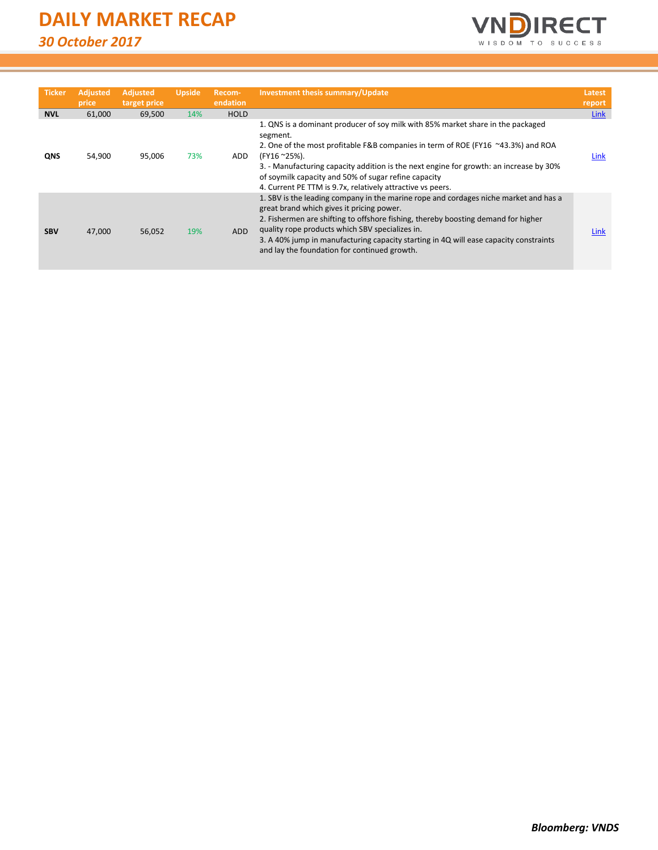

| <b>Ticker</b> | <b>Adjusted</b><br>price | <b>Adjusted</b><br>target price | <b>Upside</b> | Recom-<br>endation | Investment thesis summary/Update                                                                                                                                                                                                                                                                                                                                                                                   | Latest<br>report |
|---------------|--------------------------|---------------------------------|---------------|--------------------|--------------------------------------------------------------------------------------------------------------------------------------------------------------------------------------------------------------------------------------------------------------------------------------------------------------------------------------------------------------------------------------------------------------------|------------------|
| <b>NVL</b>    | 61,000                   | 69,500                          | 14%           | <b>HOLD</b>        |                                                                                                                                                                                                                                                                                                                                                                                                                    | Link             |
| <b>QNS</b>    | 54,900                   | 95,006                          | 73%           | <b>ADD</b>         | 1. QNS is a dominant producer of soy milk with 85% market share in the packaged<br>segment.<br>2. One of the most profitable F&B companies in term of ROE (FY16 ~43.3%) and ROA<br>(FY16~25%).<br>3. - Manufacturing capacity addition is the next engine for growth: an increase by 30%<br>of soymilk capacity and 50% of sugar refine capacity<br>4. Current PE TTM is 9.7x, relatively attractive vs peers.     | Link             |
| <b>SBV</b>    | 47,000                   | 56,052                          | 19%           | <b>ADD</b>         | 1. SBV is the leading company in the marine rope and cordages niche market and has a<br>great brand which gives it pricing power.<br>2. Fishermen are shifting to offshore fishing, thereby boosting demand for higher<br>quality rope products which SBV specializes in.<br>3. A 40% jump in manufacturing capacity starting in 4Q will ease capacity constraints<br>and lay the foundation for continued growth. | Link             |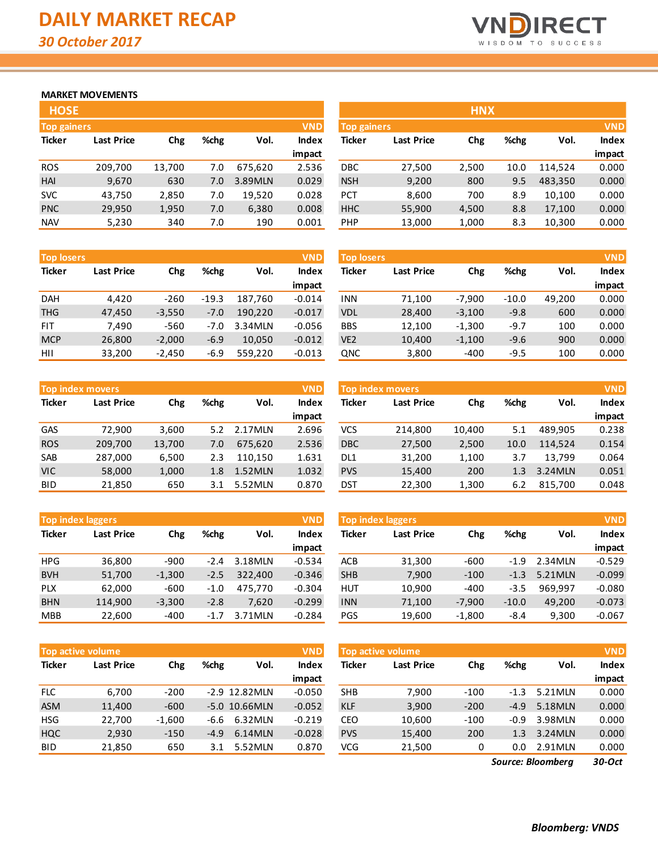

## **MARKET MOVEMENTS**

| <b>HOSE</b>        |                   |        |      |         |              |
|--------------------|-------------------|--------|------|---------|--------------|
| <b>Top gainers</b> |                   |        |      |         | <b>VND</b>   |
| <b>Ticker</b>      | <b>Last Price</b> | Chg    | %chg | Vol.    | <b>Index</b> |
|                    |                   |        |      |         | impact       |
| <b>ROS</b>         | 209,700           | 13,700 | 7.0  | 675,620 | 2.536        |
| <b>HAI</b>         | 9,670             | 630    | 7.0  | 3.89MLN | 0.029        |
| <b>SVC</b>         | 43,750            | 2,850  | 7.0  | 19,520  | 0.028        |
| <b>PNC</b>         | 29,950            | 1,950  | 7.0  | 6,380   | 0.008        |
| <b>NAV</b>         | 5,230             | 340    | 7.0  | 190     | 0.001        |

| <b>Top losers</b> |                   |          |         |         | <b>VND</b> | <b>Top losers</b> |                   |          |         |        | <b>VND</b> |
|-------------------|-------------------|----------|---------|---------|------------|-------------------|-------------------|----------|---------|--------|------------|
| <b>Ticker</b>     | <b>Last Price</b> | Chg      | %chg    | Vol.    | Index      | Ticker            | <b>Last Price</b> | Chg      | %chg    | Vol.   | Index      |
|                   |                   |          |         |         | impact     |                   |                   |          |         |        | impact     |
| <b>DAH</b>        | 4.420             | $-260$   | $-19.3$ | 187.760 | $-0.014$   | <b>INN</b>        | 71.100            | $-7.900$ | $-10.0$ | 49.200 | 0.000      |
| <b>THG</b>        | 47,450            | $-3.550$ | $-7.0$  | 190,220 | $-0.017$   | <b>VDL</b>        | 28.400            | $-3,100$ | $-9.8$  | 600    | 0.000      |
| <b>FIT</b>        | 7.490             | $-560$   | $-7.0$  | 3.34MLN | $-0.056$   | <b>BBS</b>        | 12.100            | $-1.300$ | $-9.7$  | 100    | 0.000      |
| <b>MCP</b>        | 26,800            | $-2.000$ | $-6.9$  | 10.050  | $-0.012$   | VE <sub>2</sub>   | 10.400            | $-1,100$ | $-9.6$  | 900    | 0.000      |
| HII               | 33,200            | $-2.450$ | $-6.9$  | 559,220 | $-0.013$   | QNC               | 3,800             | $-400$   | $-9.5$  | 100    | 0.000      |

|               | <b>Top index movers</b>  |        |      |         | <b>VND</b>   |
|---------------|--------------------------|--------|------|---------|--------------|
| <b>Ticker</b> | <b>Last Price</b><br>Chg |        | %chg | Vol.    | <b>Index</b> |
|               |                          |        |      |         | impact       |
| GAS           | 72,900                   | 3,600  | 5.2  | 2.17MLN | 2.696        |
| <b>ROS</b>    | 209,700                  | 13,700 | 7.0  | 675,620 | 2.536        |
| SAB           | 287,000                  | 6,500  | 2.3  | 110,150 | 1.631        |
| <b>VIC</b>    | 58,000                   | 1,000  | 1.8  | 1.52MLN | 1.032        |
| <b>BID</b>    | 21,850                   | 650    | 3.1  | 5.52MLN | 0.870        |

|               | <b>Top index laggers</b><br><b>VND</b> |          |        |         |              |  |  |  |  |  |
|---------------|----------------------------------------|----------|--------|---------|--------------|--|--|--|--|--|
| <b>Ticker</b> | <b>Last Price</b><br>Chg               |          | %chg   | Vol.    | <b>Index</b> |  |  |  |  |  |
|               |                                        |          |        |         | impact       |  |  |  |  |  |
| <b>HPG</b>    | 36,800                                 | -900     | $-2.4$ | 3.18MLN | $-0.534$     |  |  |  |  |  |
| <b>BVH</b>    | 51,700                                 | $-1,300$ | $-2.5$ | 322,400 | $-0.346$     |  |  |  |  |  |
| <b>PLX</b>    | 62,000                                 | $-600$   | $-1.0$ | 475,770 | $-0.304$     |  |  |  |  |  |
| <b>BHN</b>    | 114,900                                | $-3,300$ | $-2.8$ | 7.620   | $-0.299$     |  |  |  |  |  |
| <b>MBB</b>    | 22,600                                 | $-400$   | $-1.7$ | 3.71MLN | $-0.284$     |  |  |  |  |  |

| <b>Top active volume</b> |                   |                     |        |                  |          |  |  |  |  |
|--------------------------|-------------------|---------------------|--------|------------------|----------|--|--|--|--|
| <b>Ticker</b>            | <b>Last Price</b> | %chg<br>Vol.<br>Chg |        | <b>Index</b>     |          |  |  |  |  |
|                          |                   |                     |        |                  | impact   |  |  |  |  |
| <b>FLC</b>               | 6,700             | $-200$              |        | $-2.9$ 12.82 MLN | $-0.050$ |  |  |  |  |
| <b>ASM</b>               | 11,400            | $-600$              |        | -5.0 10.66MLN    | $-0.052$ |  |  |  |  |
| <b>HSG</b>               | 22,700            | $-1,600$            | -6.6   | 6.32MLN          | $-0.219$ |  |  |  |  |
| <b>HQC</b>               | 2,930             | $-150$              | $-4.9$ | 6.14MLN          | $-0.028$ |  |  |  |  |
| BID                      | 21,850            | 650                 | 3.1    | 5.52MLN          | 0.870    |  |  |  |  |

| <b>HOSE</b>        |                   |        |      |         |              |             |                   | <b>HNX</b> |      |         |              |
|--------------------|-------------------|--------|------|---------|--------------|-------------|-------------------|------------|------|---------|--------------|
| <b>Top gainers</b> |                   |        |      |         | <b>VND</b>   | Top gainers |                   |            |      |         | <b>VND</b>   |
| Ticker             | <b>Last Price</b> | Chg    | %chg | Vol.    | <b>Index</b> | Ticker      | <b>Last Price</b> | Chg        | %chg | Vol.    | <b>Index</b> |
|                    |                   |        |      |         | impact       |             |                   |            |      |         | impact       |
| <b>ROS</b>         | 209,700           | 13,700 | 7.0  | 675.620 | 2.536        | DBC         | 27,500            | 2,500      | 10.0 | 114.524 | 0.000        |
| <b>HAI</b>         | 9,670             | 630    | 7.0  | 3.89MLN | 0.029        | <b>NSH</b>  | 9,200             | 800        | 9.5  | 483,350 | 0.000        |
| <b>SVC</b>         | 43,750            | 2,850  | 7.0  | 19,520  | 0.028        | <b>PCT</b>  | 8,600             | 700        | 8.9  | 10,100  | 0.000        |
| <b>PNC</b>         | 29,950            | 1,950  | 7.0  | 6,380   | 0.008        | <b>HHC</b>  | 55,900            | 4,500      | 8.8  | 17,100  | 0.000        |
| <b>NAV</b>         | 5,230             | 340    | 7.0  | 190     | 0.001        | PHP         | 13,000            | 1,000      | 8.3  | 10,300  | 0.000        |

| <b>Top losers</b> |                   |          |         |        | <b>VND</b>   |
|-------------------|-------------------|----------|---------|--------|--------------|
| <b>Ticker</b>     | <b>Last Price</b> | Chg      | %chg    | Vol.   | <b>Index</b> |
|                   |                   |          |         |        | impact       |
| <b>INN</b>        | 71,100            | $-7,900$ | $-10.0$ | 49,200 | 0.000        |
| <b>VDL</b>        | 28,400            | $-3,100$ | $-9.8$  | 600    | 0.000        |
| <b>BBS</b>        | 12,100            | $-1,300$ | $-9.7$  | 100    | 0.000        |
| VE <sub>2</sub>   | 10,400            | $-1,100$ | $-9.6$  | 900    | 0.000        |
| QNC               | 3,800             | $-400$   | $-9.5$  | 100    | 0.000        |

|            | Top index movers  |        |      |                      | <b>VND</b> | <b>Top index movers</b> |                   |        |      |          |              |  |
|------------|-------------------|--------|------|----------------------|------------|-------------------------|-------------------|--------|------|----------|--------------|--|
| Ticker     | <b>Last Price</b> | Chg    | %chg | <b>Index</b><br>Vol. |            | Ticker                  | <b>Last Price</b> | Chg    | %chg | Vol.     | <b>Index</b> |  |
|            |                   |        |      |                      | impact     |                         |                   |        |      |          | impact       |  |
| <b>GAS</b> | 72.900            | 3,600  | 5.2  | 2.17MLN              | 2.696      | vcs                     | 214,800           | 10,400 | 5.1  | 489.905  | 0.238        |  |
| <b>ROS</b> | 209,700           | 13,700 | 7.0  | 675.620              | 2.536      | <b>DBC</b>              | 27,500            | 2,500  | 10.0 | 114.524  | 0.154        |  |
| SAB        | 287,000           | 6,500  | 2.3  | 110.150              | 1.631      | DL <sub>1</sub>         | 31,200            | 1,100  | 3.7  | 13.799   | 0.064        |  |
| VIC        | 58,000            | 1,000  | 1.8  | 1.52MLN              | 1.032      | <b>PVS</b>              | 15,400            | 200    | 1.3  | 3.24 MLN | 0.051        |  |
| BI D       | 21,850            | 650    | 3.1  | 5.52MLN              | 0.870      | <b>DST</b>              | 22,300            | 1,300  | 6.2  | 815,700  | 0.048        |  |
|            |                   |        |      |                      |            |                         |                   |        |      |          |              |  |

| <b>Top index laggers</b> |                   |          |        |         | <b>VND</b> | <b>Top index laggers</b> |                   |          |         |         | <b>VND</b>   |
|--------------------------|-------------------|----------|--------|---------|------------|--------------------------|-------------------|----------|---------|---------|--------------|
| Ticker                   | <b>Last Price</b> | Chg      | %chg   | Vol.    | Index      | Ticker                   | <b>Last Price</b> | Chg      | %chg    | Vol.    | <b>Index</b> |
|                          |                   |          |        |         | impact     |                          |                   |          |         |         | impact       |
| <b>HPG</b>               | 36,800            | $-900$   | -2.4   | 3.18MLN | $-0.534$   | <b>ACB</b>               | 31,300            | $-600$   | $-1.9$  | 2.34MLN | $-0.529$     |
| <b>BVH</b>               | 51,700            | $-1,300$ | $-2.5$ | 322,400 | $-0.346$   | <b>SHB</b>               | 7,900             | $-100$   | $-1.3$  | 5.21MLN | $-0.099$     |
| <b>PLX</b>               | 62,000            | $-600$   | -1.0   | 475.770 | $-0.304$   | HUT                      | 10,900            | $-400$   | $-3.5$  | 969.997 | $-0.080$     |
| <b>BHN</b>               | 114,900           | $-3,300$ | $-2.8$ | 7,620   | $-0.299$   | <b>INN</b>               | 71,100            | $-7,900$ | $-10.0$ | 49.200  | $-0.073$     |
| <b>MBB</b>               | 22,600            | $-400$   | $-1.7$ | 3.71MLN | $-0.284$   | PGS                      | 19,600            | $-1.800$ | $-8.4$  | 9,300   | $-0.067$     |

|            | Top active volume ' |          |        |                 | <b>VND</b> | Top active volume |                   |        |        |         | <b>VND</b>   |
|------------|---------------------|----------|--------|-----------------|------------|-------------------|-------------------|--------|--------|---------|--------------|
| Ticker     | <b>Last Price</b>   | Chg      | %chg   | Vol.            | Index      | Ticker            | <b>Last Price</b> | Chg    | %chg   | Vol.    | <b>Index</b> |
|            |                     |          |        |                 | impact     |                   |                   |        |        |         | impact       |
| <b>FLC</b> | 6.700               | $-200$   |        | $-2.9$ 12.82MLN | $-0.050$   | <b>SHB</b>        | 7.900             | $-100$ | $-1.3$ | 5.21MLN | 0.000        |
| <b>ASM</b> | 11,400              | $-600$   |        | $-5.0$ 10.66MLN | $-0.052$   | <b>KLF</b>        | 3,900             | $-200$ | $-4.9$ | 5.18MLN | 0.000        |
| <b>HSG</b> | 22,700              | $-1,600$ | -6.6   | 6.32MLN         | $-0.219$   | CEO               | 10,600            | $-100$ | -0.9   | 3.98MLN | 0.000        |
| HQC        | 2,930               | $-150$   | $-4.9$ | 6.14MLN         | $-0.028$   | <b>PVS</b>        | 15,400            | 200    | 1.3    | 3.24MLN | 0.000        |
| <b>BID</b> | 21,850              | 650      | 3.1    | 5.52MLN         | 0.870      | <b>VCG</b>        | 21,500            | 0      | 0.0    | 2.91MLN | 0.000        |
|            |                     |          |        |                 |            |                   |                   |        |        |         |              |

*30-Oct Source: Bloomberg*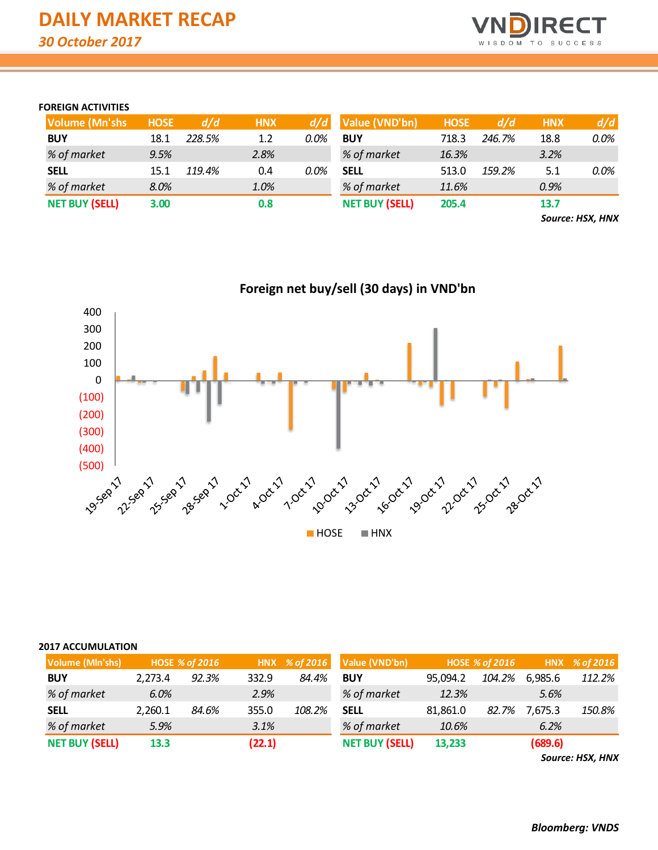

## **FOREIGN ACTIVITIES**

| <b>Volume (Mn'shs)</b> | <b>HOSE</b> | d/d    | <b>HNX</b> | d/d     | Value (VND'bn)        | <b>HOSE</b> | d/d    | <b>HNX</b> | d/d     |
|------------------------|-------------|--------|------------|---------|-----------------------|-------------|--------|------------|---------|
| <b>BUY</b>             | 18.1        | 228.5% | 1.2        | $0.0\%$ | <b>BUY</b>            | 718.3       | 246.7% | 18.8       | 0.0%    |
| % of market            | 9.5%        |        | 2.8%       |         | % of market           | 16.3%       |        | 3.2%       |         |
| <b>SELL</b>            | 15.1        | 119.4% | 0.4        | $0.0\%$ | <b>SELL</b>           | 513.0       | 159.2% | 5.1        | $0.0\%$ |
| % of market            | 8.0%        |        | 1.0%       |         | % of market           | 11.6%       |        | 0.9%       |         |
| <b>NET BUY (SELL)</b>  | 3.00        |        | 0.8        |         | <b>NET BUY (SELL)</b> | 205.4       |        | 13.7       |         |
|                        |             |        |            |         |                       |             |        |            |         |

*Source: HSX, HNX*



### **2017 ACCUMULATION**

| Volume (Mln'shs)      |         | <b>HOSE % of 2016</b> |        | HNX % of 2016 | Value (VND'bn)        |          | HOSE % of 2016 |         | HNX % of 2016 |
|-----------------------|---------|-----------------------|--------|---------------|-----------------------|----------|----------------|---------|---------------|
| <b>BUY</b>            | 2.273.4 | 92.3%                 | 332.9  | 84.4%         | <b>BUY</b>            | 95.094.2 | 104.2%         | 6,985.6 | 112.2%        |
| % of market           | 6.0%    |                       | 2.9%   |               | % of market           | 12.3%    |                | 5.6%    |               |
| <b>SELL</b>           | 2.260.1 | 84.6%                 | 355.0  | 108.2%        | <b>SELL</b>           | 81,861.0 | 82.7%          | 7.675.3 | 150.8%        |
| % of market           | 5.9%    |                       | 3.1%   |               | % of market           | 10.6%    |                | 6.2%    |               |
| <b>NET BUY (SELL)</b> | 13.3    |                       | (22.1) |               | <b>NET BUY (SELL)</b> | 13,233   |                | (689.6) |               |

*Source: HSX, HNX*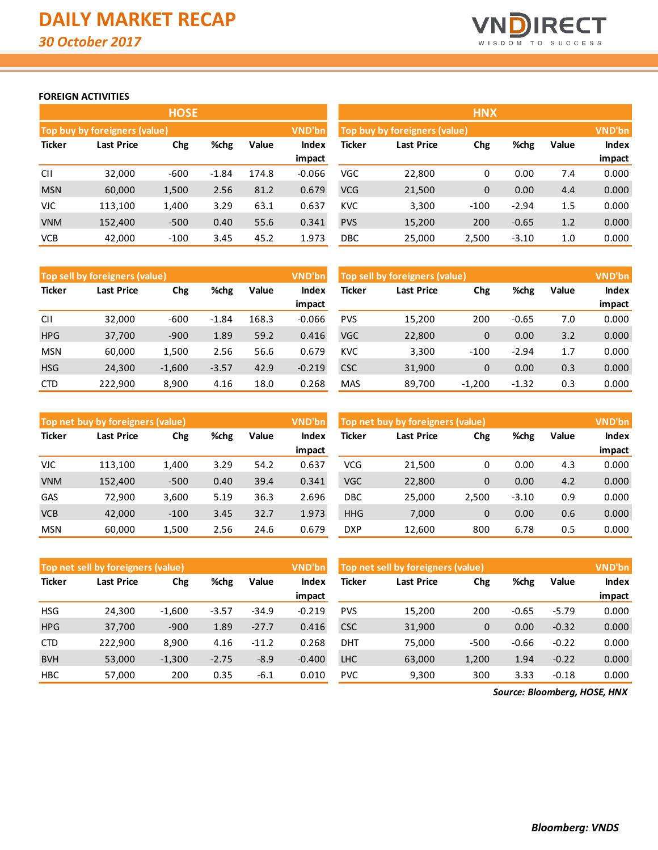

## **FOREIGN ACTIVITIES**

|               |                                    | <b>HOSE</b> |         |       |               | <b>HNX</b>                                          |                               |              |         |     |               |  |
|---------------|------------------------------------|-------------|---------|-------|---------------|-----------------------------------------------------|-------------------------------|--------------|---------|-----|---------------|--|
|               | Top buy by foreigners (value)      |             |         |       | <b>VND'bn</b> |                                                     | Top buy by foreigners (value) |              |         |     | <b>VND'bn</b> |  |
| <b>Ticker</b> | %chg<br>Value<br>Chg<br>Last Price |             |         |       |               | Ticker<br>%chg<br>Value<br>Chg<br><b>Last Price</b> |                               |              |         |     |               |  |
|               |                                    |             |         |       | impact        |                                                     |                               |              |         |     | impact        |  |
| <b>CII</b>    | 32,000                             | $-600$      | $-1.84$ | 174.8 | $-0.066$      | VGC                                                 | 22,800                        | 0            | 0.00    | 7.4 | 0.000         |  |
| <b>MSN</b>    | 60,000                             | 1,500       | 2.56    | 81.2  | 0.679         | <b>VCG</b>                                          | 21,500                        | $\mathbf{0}$ | 0.00    | 4.4 | 0.000         |  |
| VJC.          | 113.100                            | 1,400       | 3.29    | 63.1  | 0.637         | <b>KVC</b>                                          | 3,300                         | $-100$       | $-2.94$ | 1.5 | 0.000         |  |
| <b>VNM</b>    | 152,400                            | $-500$      | 0.40    | 55.6  | 0.341         | <b>PVS</b>                                          | 15,200                        | 200          | $-0.65$ | 1.2 | 0.000         |  |
| <b>VCB</b>    | 42,000                             | $-100$      | 3.45    | 45.2  | 1.973         | <b>DBC</b>                                          | 25,000                        | 2,500        | $-3.10$ | 1.0 | 0.000         |  |

|               | Top sell by foreigners (value) |             |         |       | VND'bn   | Top sell by foreigners (value) |            |             |         |       | VND'bn       |
|---------------|--------------------------------|-------------|---------|-------|----------|--------------------------------|------------|-------------|---------|-------|--------------|
| <b>Ticker</b> | <b>Last Price</b>              | %chg<br>Chg |         | Value | Index    | Ticker                         | Last Price | Chg         | %chg    | Value | <b>Index</b> |
|               |                                |             |         |       | impact   |                                |            |             |         |       | impact       |
| <b>CII</b>    | 32,000                         | $-600$      | $-1.84$ | 168.3 | $-0.066$ | <b>PVS</b>                     | 15,200     | 200         | $-0.65$ | 7.0   | 0.000        |
| <b>HPG</b>    | 37,700                         | $-900$      | 1.89    | 59.2  | 0.416    | <b>VGC</b>                     | 22,800     | $\mathbf 0$ | 0.00    | 3.2   | 0.000        |
| <b>MSN</b>    | 60.000                         | 1,500       | 2.56    | 56.6  | 0.679    | <b>KVC</b>                     | 3,300      | $-100$      | $-2.94$ | 1.7   | 0.000        |
| <b>HSG</b>    | 24,300                         | $-1,600$    | $-3.57$ | 42.9  | $-0.219$ | <b>CSC</b>                     | 31,900     | $\mathbf 0$ | 0.00    | 0.3   | 0.000        |
| <b>CTD</b>    | 222,900                        | 8.900       | 4.16    | 18.0  | 0.268    | <b>MAS</b>                     | 89.700     | $-1.200$    | $-1.32$ | 0.3   | 0.000        |

|               | Top net buy by foreigners (value) |             |      |       | VND'bn          | Top net buy by foreigners (value) |            |              |         |       | <b>VND'bn</b>          |
|---------------|-----------------------------------|-------------|------|-------|-----------------|-----------------------------------|------------|--------------|---------|-------|------------------------|
| <b>Ticker</b> | Last Price                        | %chg<br>Chg |      | Value | Index<br>impact | Ticker                            | Last Price | Chg          | %chg    | Value | <b>Index</b><br>impact |
| <b>VJC</b>    | 113.100                           | 1,400       | 3.29 | 54.2  | 0.637           | VCG                               | 21.500     | 0            | 0.00    | 4.3   | 0.000                  |
| <b>VNM</b>    | 152,400                           | $-500$      | 0.40 | 39.4  | 0.341           | <b>VGC</b>                        | 22,800     | $\mathbf 0$  | 0.00    | 4.2   | 0.000                  |
| <b>GAS</b>    | 72.900                            | 3,600       | 5.19 | 36.3  | 2.696           | DBC                               | 25,000     | 2.500        | $-3.10$ | 0.9   | 0.000                  |
| <b>VCB</b>    | 42,000                            | $-100$      | 3.45 | 32.7  | 1.973           | <b>HHG</b>                        | 7,000      | $\mathbf{0}$ | 0.00    | 0.6   | 0.000                  |
| <b>MSN</b>    | 60,000                            | 1,500       | 2.56 | 24.6  | 0.679           | <b>DXP</b>                        | 12,600     | 800          | 6.78    | 0.5   | 0.000                  |

|               | Top net sell by foreigners (value) |             |         |         | VND'bn   | Top net sell by foreigners (value) |                   |             |         |         | <b>VND'bn</b> |
|---------------|------------------------------------|-------------|---------|---------|----------|------------------------------------|-------------------|-------------|---------|---------|---------------|
| <b>Ticker</b> | Last Price                         | %chg<br>Chg |         | Value   | Index    | Ticker                             | Last Price<br>Chg |             | %chg    | Value   | Index         |
|               |                                    |             |         |         | impact   |                                    |                   |             |         |         | impact        |
| <b>HSG</b>    | 24.300                             | $-1,600$    | $-3.57$ | $-34.9$ | $-0.219$ | <b>PVS</b>                         | 15,200            | 200         | $-0.65$ | $-5.79$ | 0.000         |
| <b>HPG</b>    | 37,700                             | $-900$      | 1.89    | $-27.7$ | 0.416    | <b>CSC</b>                         | 31,900            | $\mathbf 0$ | 0.00    | $-0.32$ | 0.000         |
| <b>CTD</b>    | 222.900                            | 8,900       | 4.16    | $-11.2$ | 0.268    | <b>DHT</b>                         | 75,000            | $-500$      | $-0.66$ | $-0.22$ | 0.000         |
| <b>BVH</b>    | 53,000                             | $-1,300$    | $-2.75$ | $-8.9$  | $-0.400$ | <b>LHC</b>                         | 63,000            | 1,200       | 1.94    | $-0.22$ | 0.000         |
| <b>HBC</b>    | 57,000                             | 200         | 0.35    | $-6.1$  | 0.010    | <b>PVC</b>                         | 9,300             | 300         | 3.33    | $-0.18$ | 0.000         |

*Source: Bloomberg, HOSE, HNX*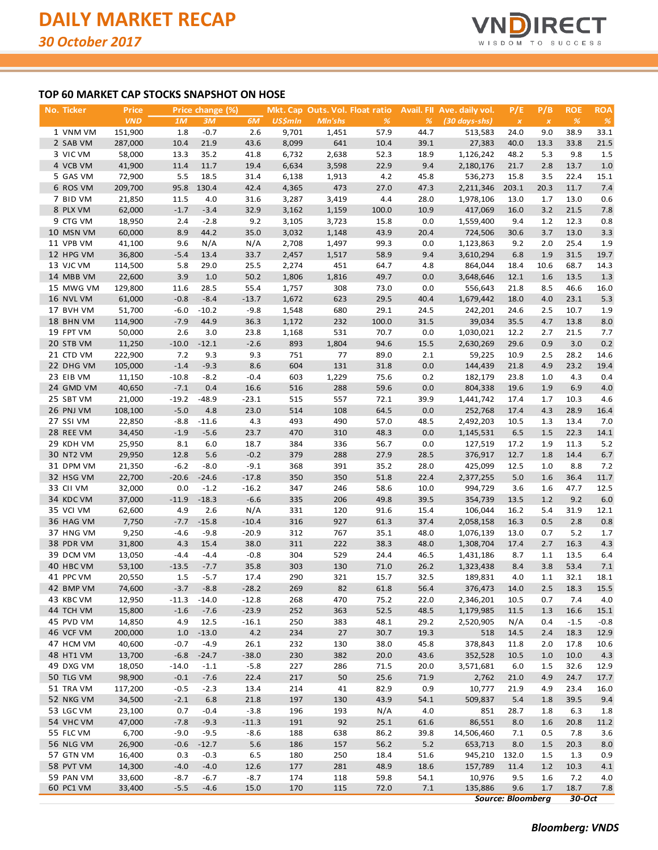

## **TOP 60 MARKET CAP STOCKS SNAPSHOT ON HOSE**

| No. Ticker       | <b>Price</b>     |                  | Price change (%) |         |                | Mkt. Cap Outs. Vol. Float ratio |              |      | Avail. FII Ave. daily vol. | P/E                      | P/B          | <b>ROE</b>    | <b>ROA</b>    |
|------------------|------------------|------------------|------------------|---------|----------------|---------------------------------|--------------|------|----------------------------|--------------------------|--------------|---------------|---------------|
|                  | <b>VND</b>       | 1M               | 3M               | 6M      | <b>US\$mln</b> | Mln'shs                         | %            | %    | $(30 \, days - shs)$       | $\boldsymbol{X}$         | $\pmb{\chi}$ | $\frac{9}{6}$ | $\frac{9}{6}$ |
| 1 VNM VM         | 151,900          | 1.8              | $-0.7$           | 2.6     | 9,701          | 1,451                           | 57.9         | 44.7 | 513,583                    | 24.0                     | 9.0          | 38.9          | 33.1          |
| 2 SAB VM         | 287,000          | 10.4             | 21.9             | 43.6    | 8,099          | 641                             | 10.4         | 39.1 | 27,383                     | 40.0                     | 13.3         | 33.8          | 21.5          |
| 3 VIC VM         | 58,000           | 13.3             | 35.2             | 41.8    | 6,732          | 2,638                           | 52.3         | 18.9 | 1,126,242                  | 48.2                     | 5.3          | 9.8           | 1.5           |
| 4 VCB VM         | 41,900           | 11.4             | 11.7             | 19.4    | 6,634          | 3,598                           | 22.9         | 9.4  | 2,180,176                  | 21.7                     | 2.8          | 13.7          | 1.0           |
| 5 GAS VM         | 72,900           | 5.5              | 18.5             | 31.4    | 6,138          | 1,913                           | 4.2          | 45.8 | 536,273                    | 15.8                     | 3.5          | 22.4          | 15.1          |
| 6 ROS VM         | 209,700          | 95.8             | 130.4            | 42.4    | 4,365          | 473                             | 27.0         | 47.3 | 2,211,346                  | 203.1                    | 20.3         | 11.7          | 7.4           |
| 7 BID VM         | 21,850           | 11.5             | 4.0              | 31.6    | 3,287          | 3,419                           | 4.4          | 28.0 | 1,978,106                  | 13.0                     | 1.7          | 13.0          | 0.6           |
| 8 PLX VM         | 62,000           | $-1.7$           | $-3.4$           | 32.9    | 3,162          | 1,159                           | 100.0        | 10.9 | 417,069                    | 16.0                     | 3.2          | 21.5          | 7.8           |
| 9 CTG VM         | 18,950           | 2.4              | $-2.8$           | 9.2     | 3,105          | 3,723                           | 15.8         | 0.0  | 1,559,400                  | 9.4                      | 1.2          | 12.3          | 0.8           |
| 10 MSN VM        | 60,000           | 8.9              | 44.2             | 35.0    | 3,032          | 1,148                           | 43.9         | 20.4 | 724,506                    | 30.6                     | 3.7          | 13.0          | 3.3           |
| 11 VPB VM        | 41,100           | 9.6              | N/A              | N/A     | 2,708          | 1,497                           | 99.3         | 0.0  | 1,123,863                  | 9.2                      | 2.0          | 25.4          | 1.9           |
| 12 HPG VM        | 36,800           | $-5.4$           | 13.4             | 33.7    | 2,457          | 1,517                           | 58.9         | 9.4  | 3,610,294                  | 6.8                      | 1.9          | 31.5          | 19.7          |
| 13 VJC VM        | 114,500          | 5.8              | 29.0             | 25.5    | 2,274          | 451                             | 64.7         | 4.8  | 864,044                    | 18.4                     | 10.6         | 68.7          | 14.3          |
| 14 MBB VM        |                  |                  |                  |         |                |                                 |              |      |                            |                          |              |               |               |
|                  | 22,600           | 3.9              | 1.0              | 50.2    | 1,806          | 1,816                           | 49.7         | 0.0  | 3,648,646                  | 12.1                     | 1.6          | 13.5          | 1.3           |
| 15 MWG VM        | 129,800          | 11.6             | 28.5             | 55.4    | 1,757          | 308                             | 73.0         | 0.0  | 556,643                    | 21.8                     | 8.5          | 46.6          | 16.0          |
| 16 NVL VM        | 61,000           | $-0.8$           | $-8.4$           | $-13.7$ | 1,672          | 623                             | 29.5         | 40.4 | 1,679,442                  | 18.0                     | 4.0          | 23.1          | 5.3           |
| 17 BVH VM        | 51,700           | $-6.0$           | $-10.2$          | $-9.8$  | 1,548          | 680                             | 29.1         | 24.5 | 242,201                    | 24.6                     | 2.5          | 10.7          | 1.9           |
| 18 BHN VM        | 114,900          | $-7.9$           | 44.9             | 36.3    | 1,172          | 232                             | 100.0        | 31.5 | 39,034                     | 35.5                     | 4.7          | 13.8          | 8.0           |
| 19 FPT VM        | 50,000           | 2.6              | 3.0              | 23.8    | 1,168          | 531                             | 70.7         | 0.0  | 1,030,021                  | 12.2                     | 2.7          | 21.5          | 7.7           |
| 20 STB VM        | 11,250           | $-10.0$          | $-12.1$          | $-2.6$  | 893            | 1,804                           | 94.6         | 15.5 | 2,630,269                  | 29.6                     | 0.9          | 3.0           | 0.2           |
| 21 CTD VM        | 222,900          | 7.2              | 9.3              | 9.3     | 751            | 77                              | 89.0         | 2.1  | 59,225                     | 10.9                     | 2.5          | 28.2          | 14.6          |
| 22 DHG VM        | 105,000          | $-1.4$           | $-9.3$           | 8.6     | 604            | 131                             | 31.8         | 0.0  | 144,439                    | 21.8                     | 4.9          | 23.2          | 19.4          |
| 23 EIB VM        | 11,150           | $-10.8$          | $-8.2$           | $-0.4$  | 603            | 1,229                           | 75.6         | 0.2  | 182,179                    | 23.8                     | 1.0          | 4.3           | 0.4           |
| 24 GMD VM        | 40,650           | $-7.1$           | 0.4              | 16.6    | 516            | 288                             | 59.6         | 0.0  | 804,338                    | 19.6                     | 1.9          | 6.9           | $4.0$         |
| 25 SBT VM        | 21,000           | $-19.2$          | $-48.9$          | $-23.1$ | 515            | 557                             | 72.1         | 39.9 | 1,441,742                  | 17.4                     | 1.7          | 10.3          | 4.6           |
| 26 PNJ VM        | 108,100          | $-5.0$           | 4.8              | 23.0    | 514            | 108                             | 64.5         | 0.0  | 252,768                    | 17.4                     | 4.3          | 28.9          | 16.4          |
| 27 SSI VM        | 22,850           | $-8.8$           | $-11.6$          | 4.3     | 493            | 490                             | 57.0         | 48.5 | 2,492,203                  | 10.5                     | 1.3          | 13.4          | 7.0           |
| 28 REE VM        | 34,450           | $-1.9$           | $-5.6$           | 23.7    | 470            | 310                             | 48.3         | 0.0  | 1,145,531                  | 6.5                      | 1.5          | 22.3          | 14.1          |
| 29 KDH VM        | 25,950           | 8.1              | 6.0              | 18.7    | 384            | 336                             | 56.7         | 0.0  | 127,519                    | 17.2                     | 1.9          | 11.3          | 5.2           |
| <b>30 NT2 VM</b> | 29,950           | 12.8             | 5.6              | $-0.2$  | 379            | 288                             | 27.9         | 28.5 | 376,917                    | 12.7                     | 1.8          | 14.4          | 6.7           |
| 31 DPM VM        | 21,350           | $-6.2$           | $-8.0$           | $-9.1$  | 368            | 391                             | 35.2         | 28.0 | 425,099                    | 12.5                     | 1.0          | 8.8           | 7.2           |
| 32 HSG VM        | 22,700           | $-20.6$          | $-24.6$          | $-17.8$ | 350            | 350                             | 51.8         | 22.4 | 2,377,255                  | 5.0                      | 1.6          | 36.4          | 11.7          |
| 33 CII VM        | 32,000           | 0.0              | $-1.2$           | $-16.2$ | 347            | 246                             | 58.6         | 10.0 | 994,729                    | 3.6                      | 1.6          | 47.7          | 12.5          |
| 34 KDC VM        | 37,000           | $-11.9$          | $-18.3$          | $-6.6$  | 335            | 206                             | 49.8         | 39.5 | 354,739                    | 13.5                     | 1.2          | 9.2           | $6.0\,$       |
| 35 VCI VM        | 62,600           | 4.9              | 2.6              | N/A     | 331            | 120                             | 91.6         | 15.4 | 106,044                    | 16.2                     | 5.4          | 31.9          | 12.1          |
| 36 HAG VM        | 7,750            | $-7.7$           | $-15.8$          | $-10.4$ | 316            | 927                             | 61.3         | 37.4 | 2,058,158                  | 16.3                     | 0.5          | 2.8           | 0.8           |
| 37 HNG VM        | 9,250            | $-4.6$           | $-9.8$           | $-20.9$ | 312            | 767                             | 35.1         | 48.0 | 1,076,139                  | 13.0                     | 0.7          | 5.2           | 1.7           |
| 38 PDR VM        | 31,800           | 4.3              | 15.4             | 38.0    | 311            | 222                             | 38.3         | 48.0 | 1,308,704                  | 17.4                     | 2.7          | 16.3          | 4.3           |
| 39 DCM VM        | 13,050           | $-4.4$           | $-4.4$           | $-0.8$  | 304            | 529                             | 24.4         | 46.5 | 1,431,186                  | 8.7                      | 1.1          | 13.5          | 6.4           |
| 40 HBC VM        | 53,100           | $-13.5$          | $-7.7$           | 35.8    | 303            | 130                             | 71.0         | 26.2 | 1,323,438                  | 8.4                      | 3.8          | 53.4          | 7.1           |
| 41 PPC VM        | 20,550           | 1.5              | $-5.7$           | 17.4    | 290            | 321                             | 15.7         | 32.5 | 189,831                    | 4.0                      | 1.1          | 32.1          | 18.1          |
| 42 BMP VM        | 74,600           | $-3.7$           | $-8.8$           | $-28.2$ | 269            | 82                              | 61.8         | 56.4 | 376,473                    | 14.0                     | 2.5          | 18.3          | 15.5          |
| 43 KBC VM        | 12,950           | $-11.3$          | $-14.0$          | $-12.8$ | 268            | 470                             | 75.2         | 22.0 | 2,346,201                  | 10.5                     | 0.7          | 7.4           | 4.0           |
| 44 TCH VM        | 15,800           | $-1.6$           | $-7.6$           | $-23.9$ | 252            | 363                             | 52.5         | 48.5 | 1,179,985                  | 11.5                     | 1.3          | 16.6          | 15.1          |
| 45 PVD VM        | 14,850           | 4.9              | 12.5             | $-16.1$ | 250            | 383                             | 48.1         | 29.2 | 2,520,905                  | N/A                      | 0.4          | $-1.5$        | $-0.8$        |
| 46 VCF VM        | 200,000          | 1.0              | $-13.0$          | 4.2     | 234            | 27                              | 30.7         | 19.3 | 518                        | 14.5                     | 2.4          | 18.3          | 12.9          |
| 47 HCM VM        |                  |                  | $-4.9$           | 26.1    | 232            |                                 |              | 45.8 | 378,843                    |                          |              |               |               |
| 48 HT1 VM        | 40,600<br>13,700 | $-0.7$<br>$-6.8$ | $-24.7$          | $-38.0$ | 230            | 130<br>382                      | 38.0<br>20.0 | 43.6 | 352,528                    | 11.8<br>10.5             | 2.0<br>1.0   | 17.8<br>10.0  | 10.6<br>4.3   |
| 49 DXG VM        |                  |                  |                  |         |                |                                 |              |      |                            |                          |              |               |               |
|                  | 18,050           | $-14.0$          | $-1.1$           | $-5.8$  | 227            | 286                             | 71.5         | 20.0 | 3,571,681                  | 6.0                      | 1.5          | 32.6          | 12.9          |
| 50 TLG VM        | 98,900           | $-0.1$           | $-7.6$           | 22.4    | 217            | 50                              | 25.6         | 71.9 | 2,762                      | 21.0                     | 4.9          | 24.7          | 17.7          |
| 51 TRA VM        | 117,200          | $-0.5$           | $-2.3$           | 13.4    | 214            | 41                              | 82.9         | 0.9  | 10,777                     | 21.9                     | 4.9          | 23.4          | 16.0          |
| 52 NKG VM        | 34,500           | $-2.1$           | $6.8\,$          | 21.8    | 197            | 130                             | 43.9         | 54.1 | 509,837                    | 5.4                      | 1.8          | 39.5          | 9.4           |
| 53 LGC VM        | 23,100           | 0.7              | $-0.4$           | $-3.8$  | 196            | 193                             | N/A          | 4.0  | 851                        | 28.7                     | 1.8          | 6.3           | 1.8           |
| 54 VHC VM        | 47,000           | $-7.8$           | $-9.3$           | $-11.3$ | 191            | 92                              | 25.1         | 61.6 | 86,551                     | 8.0                      | 1.6          | 20.8          | 11.2          |
| 55 FLC VM        | 6,700            | $-9.0$           | $-9.5$           | $-8.6$  | 188            | 638                             | 86.2         | 39.8 | 14,506,460                 | 7.1                      | 0.5          | 7.8           | 3.6           |
| 56 NLG VM        | 26,900           | $-0.6$           | $-12.7$          | 5.6     | 186            | 157                             | 56.2         | 5.2  | 653,713                    | 8.0                      | 1.5          | 20.3          | 8.0           |
| 57 GTN VM        | 16,400           | 0.3              | $-0.3$           | 6.5     | 180            | 250                             | 18.4         | 51.6 | 945,210                    | 132.0                    | 1.5          | 1.3           | 0.9           |
| 58 PVT VM        | 14,300           | $-4.0$           | $-4.0$           | 12.6    | 177            | 281                             | 48.9         | 18.6 | 157,789                    | 11.4                     | 1.2          | 10.3          | 4.1           |
| 59 PAN VM        | 33,600           | $-8.7$           | $-6.7$           | $-8.7$  | 174            | 118                             | 59.8         | 54.1 | 10,976                     | 9.5                      | 1.6          | 7.2           | 4.0           |
| 60 PC1 VM        | 33,400           | $-5.5$           | $-4.6$           | 15.0    | 170            | 115                             | 72.0         | 7.1  | 135,886                    | 9.6                      | 1.7          | 18.7          | 7.8           |
|                  |                  |                  |                  |         |                |                                 |              |      |                            | <b>Source: Bloomberg</b> |              | 30-Oct        |               |